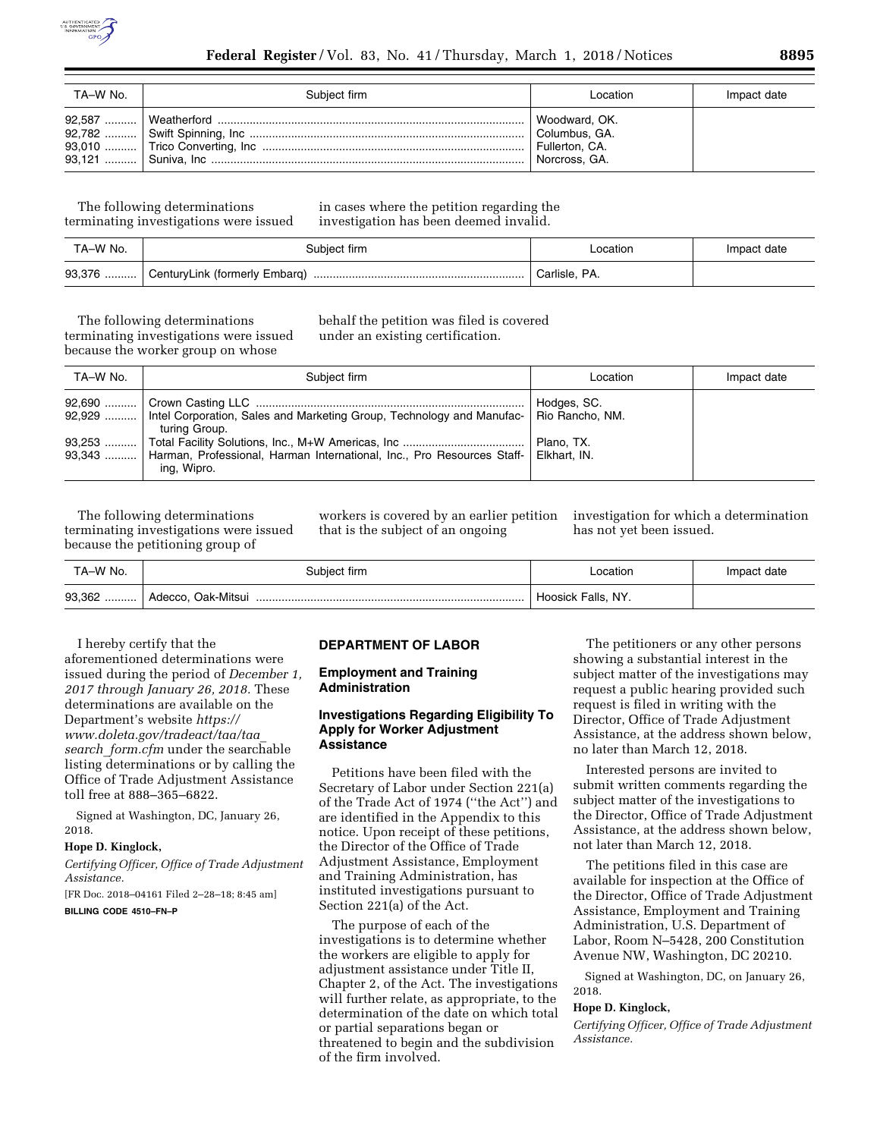

| TA-W No. | Subiect firm | Location                                                          | Impact date |
|----------|--------------|-------------------------------------------------------------------|-------------|
|          |              | Woodward, OK.<br>Columbus, GA.<br>Fullerton, CA.<br>Norcross, GA. |             |

The following determinations terminating investigations were issued in cases where the petition regarding the investigation has been deemed invalid.

| TA-W No. | Subiect firm                  | _ocation      | Impact date |
|----------|-------------------------------|---------------|-------------|
| 93,376   | CenturyLink (formerly Embarg) | Carlisle, PA. |             |

The following determinations terminating investigations were issued because the worker group on whose

behalf the petition was filed is covered under an existing certification.

| TA-W No. | Subject firm                                                                                                     | Location    | Impact date |
|----------|------------------------------------------------------------------------------------------------------------------|-------------|-------------|
| $92,690$ | 92,929  Intel Corporation, Sales and Marketing Group, Technology and Manufac-   Rio Rancho, NM.<br>turing Group. | Hodges, SC. |             |
|          | 93.343    Harman, Professional, Harman International, Inc., Pro Resources Staff-   Elkhart, IN.<br>ing, Wipro.   | Plano, TX.  |             |

The following determinations terminating investigations were issued because the petitioning group of

workers is covered by an earlier petition that is the subject of an ongoing

investigation for which a determination has not yet been issued.

| TA-W No. | Subject firm            | ocation            | Impact date |
|----------|-------------------------|--------------------|-------------|
| 93,362   | Oak-Mitsui<br>Adecco. ( | Hoosick Falls, NY. |             |

I hereby certify that the aforementioned determinations were issued during the period of *December 1, 2017 through January 26, 2018.* These determinations are available on the Department's website *[https://](https://www.doleta.gov/tradeact/taa/taa_search_form.cfm) [www.doleta.gov/tradeact/taa/taa](https://www.doleta.gov/tradeact/taa/taa_search_form.cfm)*\_ *search*\_*[form.cfm](https://www.doleta.gov/tradeact/taa/taa_search_form.cfm)* under the searchable listing determinations or by calling the Office of Trade Adjustment Assistance toll free at 888–365–6822.

Signed at Washington, DC, January 26, 2018.

# **Hope D. Kinglock,**

*Certifying Officer, Office of Trade Adjustment Assistance.* 

[FR Doc. 2018–04161 Filed 2–28–18; 8:45 am] **BILLING CODE 4510–FN–P** 

### **DEPARTMENT OF LABOR**

### **Employment and Training Administration**

# **Investigations Regarding Eligibility To Apply for Worker Adjustment Assistance**

Petitions have been filed with the Secretary of Labor under Section 221(a) of the Trade Act of 1974 (''the Act'') and are identified in the Appendix to this notice. Upon receipt of these petitions, the Director of the Office of Trade Adjustment Assistance, Employment and Training Administration, has instituted investigations pursuant to Section 221(a) of the Act.

The purpose of each of the investigations is to determine whether the workers are eligible to apply for adjustment assistance under Title II, Chapter 2, of the Act. The investigations will further relate, as appropriate, to the determination of the date on which total or partial separations began or threatened to begin and the subdivision of the firm involved.

The petitioners or any other persons showing a substantial interest in the subject matter of the investigations may request a public hearing provided such request is filed in writing with the Director, Office of Trade Adjustment Assistance, at the address shown below, no later than March 12, 2018.

Interested persons are invited to submit written comments regarding the subject matter of the investigations to the Director, Office of Trade Adjustment Assistance, at the address shown below, not later than March 12, 2018.

The petitions filed in this case are available for inspection at the Office of the Director, Office of Trade Adjustment Assistance, Employment and Training Administration, U.S. Department of Labor, Room N–5428, 200 Constitution Avenue NW, Washington, DC 20210.

Signed at Washington, DC, on January 26, 2018.

#### **Hope D. Kinglock,**

*Certifying Officer, Office of Trade Adjustment Assistance.*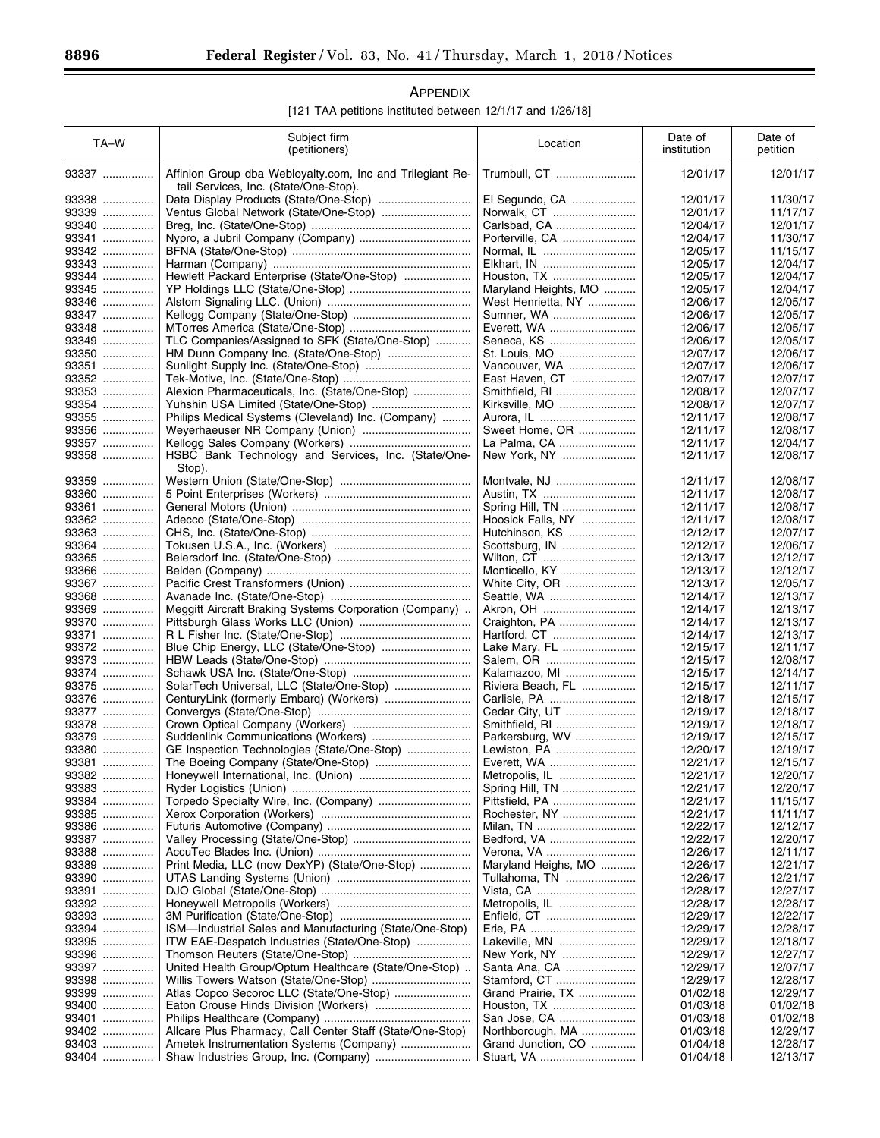Ξ

| APPENDIX                                                   |  |
|------------------------------------------------------------|--|
| [121 TAA petitions instituted between 12/1/17 and 1/26/18] |  |

| TA-W  | Subject firm<br>(petitioners)                                                                      | Location             | Date of<br>institution | Date of<br>petition |
|-------|----------------------------------------------------------------------------------------------------|----------------------|------------------------|---------------------|
| 93337 | Affinion Group dba Webloyalty.com, Inc and Trilegiant Re-<br>tail Services, Inc. (State/One-Stop). | Trumbull, CT         | 12/01/17               | 12/01/17            |
| 93338 |                                                                                                    | El Segundo, CA       | 12/01/17               | 11/30/17            |
| 93339 | Ventus Global Network (State/One-Stop)                                                             | Norwalk, CT          | 12/01/17               | 11/17/17            |
| 93340 |                                                                                                    | Carlsbad, CA         | 12/04/17               | 12/01/17            |
| 93341 |                                                                                                    | Porterville, CA      | 12/04/17               | 11/30/17            |
| 93342 |                                                                                                    | Normal, IL           | 12/05/17               | 11/15/17            |
| 93343 |                                                                                                    | Elkhart, IN          | 12/05/17               | 12/04/17            |
| 93344 | Hewlett Packard Enterprise (State/One-Stop)                                                        | Houston, TX          | 12/05/17               | 12/04/17            |
| 93345 |                                                                                                    | Maryland Heights, MO | 12/05/17               | 12/04/17            |
| 93346 |                                                                                                    | West Henrietta, NY   | 12/06/17               | 12/05/17            |
| 93347 |                                                                                                    | Sumner, WA           | 12/06/17               | 12/05/17            |
| 93348 |                                                                                                    | Everett, WA          | 12/06/17               | 12/05/17            |
| 93349 | TLC Companies/Assigned to SFK (State/One-Stop)                                                     | Seneca, KS           | 12/06/17               | 12/05/17            |
| 93350 | HM Dunn Company Inc. (State/One-Stop)                                                              | St. Louis, MO        | 12/07/17               | 12/06/17            |
| 93351 |                                                                                                    | Vancouver, WA        | 12/07/17               | 12/06/17            |
| 93352 |                                                                                                    | East Haven, CT       | 12/07/17               | 12/07/17            |
| 93353 | Alexion Pharmaceuticals, Inc. (State/One-Stop)                                                     | Smithfield, RI       | 12/08/17               | 12/07/17            |
| 93354 |                                                                                                    | Kirksville, MO       | 12/08/17               | 12/07/17            |
| 93355 | Philips Medical Systems (Cleveland) Inc. (Company)                                                 | Aurora, IL           | 12/11/17               | 12/08/17            |
| 93356 |                                                                                                    | Sweet Home, OR       | 12/11/17               | 12/08/17            |
| 93357 |                                                                                                    | La Palma, CA         | 12/11/17               | 12/04/17            |
| 93358 | HSBC Bank Technology and Services, Inc. (State/One-<br>Stop).                                      | New York, NY         | 12/11/17               | 12/08/17            |
| 93359 |                                                                                                    | Montvale, NJ         | 12/11/17               | 12/08/17            |
| 93360 |                                                                                                    | Austin, TX           | 12/11/17               | 12/08/17            |
| 93361 |                                                                                                    | Spring Hill, TN      | 12/11/17               | 12/08/17            |
| 93362 |                                                                                                    | Hoosick Falls, NY    | 12/11/17               | 12/08/17            |
| 93363 |                                                                                                    | Hutchinson, KS       | 12/12/17               | 12/07/17            |
| 93364 |                                                                                                    | Scottsburg, IN       | 12/12/17               | 12/06/17            |
| 93365 |                                                                                                    | Wilton, CT           | 12/13/17               | 12/12/17            |
| 93366 |                                                                                                    | Monticello, KY       | 12/13/17               | 12/12/17            |
| 93367 |                                                                                                    | White City, OR       | 12/13/17               | 12/05/17            |
| 93368 |                                                                                                    | Seattle, WA          | 12/14/17               | 12/13/17            |
| 93369 | Meggitt Aircraft Braking Systems Corporation (Company)                                             |                      | 12/14/17               | 12/13/17            |
| 93370 |                                                                                                    | Craighton, PA        | 12/14/17               | 12/13/17            |
| 93371 |                                                                                                    | Hartford, CT         | 12/14/17               | 12/13/17            |
| 93372 |                                                                                                    | Lake Mary, FL        | 12/15/17               | 12/11/17            |
| 93373 |                                                                                                    | Salem, OR            | 12/15/17               | 12/08/17            |
| 93374 |                                                                                                    | Kalamazoo, MI        | 12/15/17               | 12/14/17            |
| 93375 | SolarTech Universal, LLC (State/One-Stop)                                                          | Riviera Beach, FL    | 12/15/17               | 12/11/17            |
| 93376 | CenturyLink (formerly Embarq) (Workers)                                                            | Carlisle, PA         | 12/18/17               | 12/15/17            |
| 93377 |                                                                                                    | Cedar City, UT       | 12/19/17               | 12/18/17            |
| 93378 |                                                                                                    | Smithfield, RI       | 12/19/17               | 12/18/17            |
| 93379 |                                                                                                    | Parkersburg, WV      | 12/19/17               | 12/15/17            |
| 93380 | GE Inspection Technologies (State/One-Stop)                                                        | Lewiston, PA         | 12/20/17               | 12/19/17            |
| 93381 | The Boeing Company (State/One-Stop)                                                                | Everett, WA          | 12/21/17               | 12/15/17            |
| 93382 |                                                                                                    | Metropolis, IL       | 12/21/17               | 12/20/17            |
| 93383 |                                                                                                    | Spring Hill, TN      | 12/21/17               | 12/20/17            |
| 93384 | Torpedo Specialty Wire, Inc. (Company)                                                             | Pittsfield, PA       | 12/21/17               | 11/15/17            |
| 93385 |                                                                                                    | Rochester, NY        | 12/21/17               | 11/11/17            |
| 93386 |                                                                                                    | Milan, TN            | 12/22/17               | 12/12/17            |
| 93387 |                                                                                                    | Bedford, VA          | 12/22/17               | 12/20/17            |
| 93388 |                                                                                                    | Verona, VA           | 12/26/17               | 12/11/17            |
| 93389 | Print Media, LLC (now DexYP) (State/One-Stop)                                                      | Maryland Heighs, MO  | 12/26/17               | 12/21/17            |
| 93390 |                                                                                                    | Tullahoma, TN        | 12/26/17               | 12/21/17            |
| 93391 |                                                                                                    | Vista, CA            | 12/28/17               | 12/27/17            |
| 93392 |                                                                                                    | Metropolis, IL       | 12/28/17               | 12/28/17            |
| 93393 |                                                                                                    | Enfield, CT          | 12/29/17               | 12/22/17            |
| 93394 | ISM—Industrial Sales and Manufacturing (State/One-Stop)                                            |                      | 12/29/17               | 12/28/17            |
| 93395 | ITW EAE-Despatch Industries (State/One-Stop)                                                       | Lakeville, MN        | 12/29/17               | 12/18/17            |
| 93396 |                                                                                                    | New York, NY         | 12/29/17               | 12/27/17            |
| 93397 | United Health Group/Optum Healthcare (State/One-Stop)                                              | Santa Ana, CA        | 12/29/17               | 12/07/17            |
| 93398 |                                                                                                    | Stamford, CT         | 12/29/17               | 12/28/17            |
| 93399 |                                                                                                    | Grand Prairie, TX    | 01/02/18               | 12/29/17            |
| 93400 |                                                                                                    | Houston, TX          | 01/03/18               | 01/02/18            |
| 93401 |                                                                                                    | San Jose, CA         | 01/03/18               | 01/02/18            |
| 93402 | Allcare Plus Pharmacy, Call Center Staff (State/One-Stop)                                          | Northborough, MA     | 01/03/18               | 12/29/17            |
| 93403 |                                                                                                    | Grand Junction, CO   | 01/04/18               | 12/28/17            |
|       |                                                                                                    | Stuart, VA           |                        |                     |
| 93404 |                                                                                                    |                      | 01/04/18               | 12/13/17            |